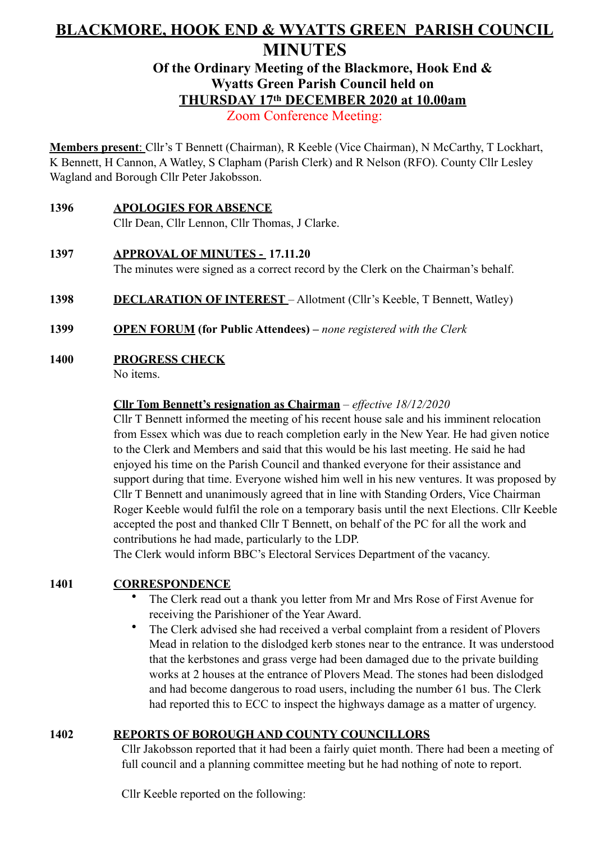# **BLACKMORE, HOOK END & WYATTS GREEN PARISH COUNCIL MINUTES**

# **Of the Ordinary Meeting of the Blackmore, Hook End & Wyatts Green Parish Council held on THURSDAY 17th DECEMBER 2020 at 10.00am**

Zoom Conference Meeting:

**Members present**: Cllr's T Bennett (Chairman), R Keeble (Vice Chairman), N McCarthy, T Lockhart, K Bennett, H Cannon, A Watley, S Clapham (Parish Clerk) and R Nelson (RFO). County Cllr Lesley Wagland and Borough Cllr Peter Jakobsson.

- **1396 APOLOGIES FOR ABSENCE**  Cllr Dean, Cllr Lennon, Cllr Thomas, J Clarke.
- **1397 APPROVAL OF MINUTES 17.11.20**  The minutes were signed as a correct record by the Clerk on the Chairman's behalf.
- **1398 DECLARATION OF INTEREST** Allotment (Cllr's Keeble, T Bennett, Watley)
- **1399 OPEN FORUM (for Public Attendees)** *none registered with the Clerk*
- **1400 PROGRESS CHECK**

No items.

#### **Cllr Tom Bennett's resignation as Chairman** – *effective 18/12/2020*

Cllr T Bennett informed the meeting of his recent house sale and his imminent relocation from Essex which was due to reach completion early in the New Year. He had given notice to the Clerk and Members and said that this would be his last meeting. He said he had enjoyed his time on the Parish Council and thanked everyone for their assistance and support during that time. Everyone wished him well in his new ventures. It was proposed by Cllr T Bennett and unanimously agreed that in line with Standing Orders, Vice Chairman Roger Keeble would fulfil the role on a temporary basis until the next Elections. Cllr Keeble accepted the post and thanked Cllr T Bennett, on behalf of the PC for all the work and contributions he had made, particularly to the LDP.

The Clerk would inform BBC's Electoral Services Department of the vacancy.

#### **1401 CORRESPONDENCE**

- The Clerk read out a thank you letter from Mr and Mrs Rose of First Avenue for receiving the Parishioner of the Year Award.
- The Clerk advised she had received a verbal complaint from a resident of Plovers Mead in relation to the dislodged kerb stones near to the entrance. It was understood that the kerbstones and grass verge had been damaged due to the private building works at 2 houses at the entrance of Plovers Mead. The stones had been dislodged and had become dangerous to road users, including the number 61 bus. The Clerk had reported this to ECC to inspect the highways damage as a matter of urgency.

### **1402 REPORTS OF BOROUGH AND COUNTY COUNCILLORS**

Cllr Jakobsson reported that it had been a fairly quiet month. There had been a meeting of full council and a planning committee meeting but he had nothing of note to report.

Cllr Keeble reported on the following: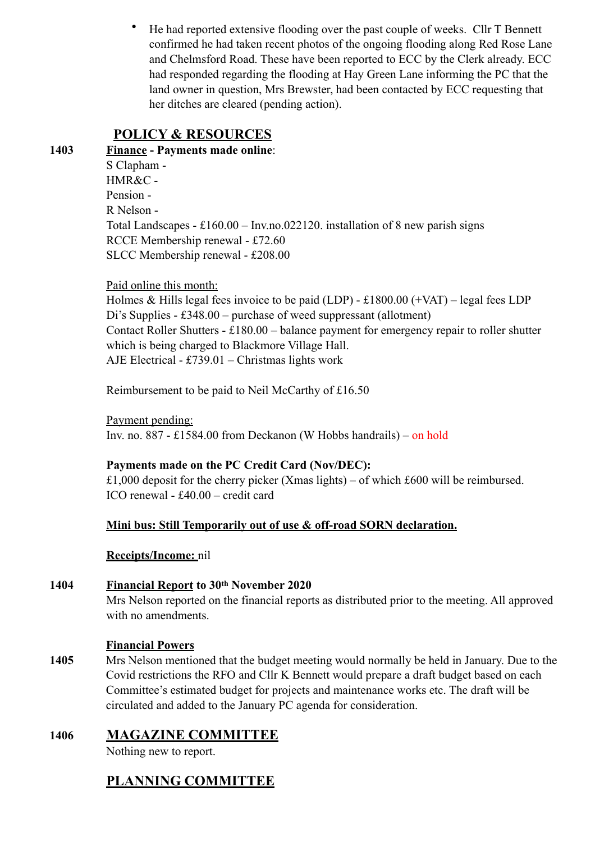• He had reported extensive flooding over the past couple of weeks. Cllr T Bennett confirmed he had taken recent photos of the ongoing flooding along Red Rose Lane and Chelmsford Road. These have been reported to ECC by the Clerk already. ECC had responded regarding the flooding at Hay Green Lane informing the PC that the land owner in question, Mrs Brewster, had been contacted by ECC requesting that her ditches are cleared (pending action).

# **POLICY & RESOURCES**

**1403 Finance - Payments made online**: S Clapham - HMR&C - Pension - R Nelson - Total Landscapes - £160.00 – Inv.no.022120. installation of 8 new parish signs RCCE Membership renewal - £72.60 SLCC Membership renewal - £208.00

Paid online this month:

 Holmes & Hills legal fees invoice to be paid (LDP) - £1800.00 (+VAT) – legal fees LDP Di's Supplies - £348.00 – purchase of weed suppressant (allotment) Contact Roller Shutters - £180.00 – balance payment for emergency repair to roller shutter which is being charged to Blackmore Village Hall. AJE Electrical - £739.01 – Christmas lights work

Reimbursement to be paid to Neil McCarthy of £16.50

Payment pending: Inv. no. 887 - £1584.00 from Deckanon (W Hobbs handrails) – on hold

### **Payments made on the PC Credit Card (Nov/DEC):**

£1,000 deposit for the cherry picker (Xmas lights) – of which £600 will be reimbursed. ICO renewal - £40.00 – credit card

### **Mini bus: Still Temporarily out of use & off-road SORN declaration.**

### **Receipts/Income:** nil

### **1404 Financial Report to 30th November 2020**

Mrs Nelson reported on the financial reports as distributed prior to the meeting. All approved with no amendments.

### **Financial Powers**

**1405** Mrs Nelson mentioned that the budget meeting would normally be held in January. Due to the Covid restrictions the RFO and Cllr K Bennett would prepare a draft budget based on each Committee's estimated budget for projects and maintenance works etc. The draft will be circulated and added to the January PC agenda for consideration.

## **1406 MAGAZINE COMMITTEE**

Nothing new to report.

# **PLANNING COMMITTEE**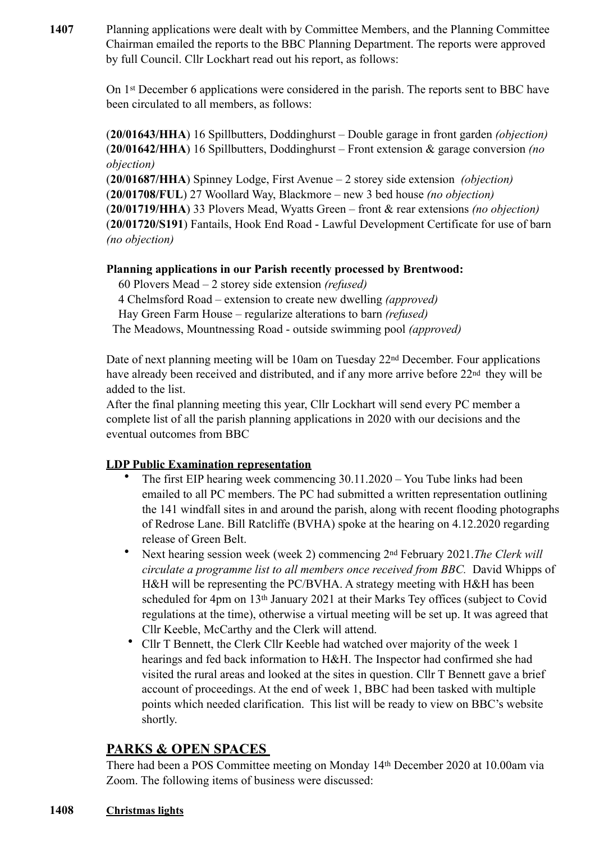**1407** Planning applications were dealt with by Committee Members, and the Planning Committee Chairman emailed the reports to the BBC Planning Department. The reports were approved by full Council. Cllr Lockhart read out his report, as follows:

> On 1st December 6 applications were considered in the parish. The reports sent to BBC have been circulated to all members, as follows:

> (**20/01643/HHA**) 16 Spillbutters, Doddinghurst – Double garage in front garden *(objection)*  (**20/01642/HHA**) 16 Spillbutters, Doddinghurst – Front extension & garage conversion *(no objection)*

> (**20/01687/HHA**) Spinney Lodge, First Avenue – 2 storey side extension *(objection)* (**20/01708/FUL**) 27 Woollard Way, Blackmore – new 3 bed house *(no objection)*  (**20/01719/HHA**) 33 Plovers Mead, Wyatts Green – front & rear extensions *(no objection)* (**20/01720/S191**) Fantails, Hook End Road - Lawful Development Certificate for use of barn *(no objection)*

#### **Planning applications in our Parish recently processed by Brentwood:**

60 Plovers Mead – 2 storey side extension *(refused)*

4 Chelmsford Road – extension to create new dwelling *(approved)*

Hay Green Farm House – regularize alterations to barn *(refused)*

The Meadows, Mountnessing Road - outside swimming pool *(approved)*

Date of next planning meeting will be 10am on Tuesday  $22<sup>nd</sup>$  December. Four applications have already been received and distributed, and if any more arrive before 22<sup>nd</sup> they will be added to the list.

After the final planning meeting this year, Cllr Lockhart will send every PC member a complete list of all the parish planning applications in 2020 with our decisions and the eventual outcomes from BBC

### **LDP Public Examination representation**

- The first EIP hearing week commencing 30.11.2020 You Tube links had been emailed to all PC members. The PC had submitted a written representation outlining the 141 windfall sites in and around the parish, along with recent flooding photographs of Redrose Lane. Bill Ratcliffe (BVHA) spoke at the hearing on 4.12.2020 regarding release of Green Belt.
- Next hearing session week (week 2) commencing 2nd February 2021.*The Clerk will circulate a programme list to all members once received from BBC.* David Whipps of H&H will be representing the PC/BVHA. A strategy meeting with H&H has been scheduled for 4pm on 13th January 2021 at their Marks Tey offices (subject to Covid regulations at the time), otherwise a virtual meeting will be set up. It was agreed that Cllr Keeble, McCarthy and the Clerk will attend.
- Cllr T Bennett, the Clerk Cllr Keeble had watched over majority of the week 1 hearings and fed back information to H&H. The Inspector had confirmed she had visited the rural areas and looked at the sites in question. Cllr T Bennett gave a brief account of proceedings. At the end of week 1, BBC had been tasked with multiple points which needed clarification. This list will be ready to view on BBC's website shortly.

# **PARKS & OPEN SPACES**

There had been a POS Committee meeting on Monday 14th December 2020 at 10.00am via Zoom. The following items of business were discussed:

#### **1408 Christmas lights**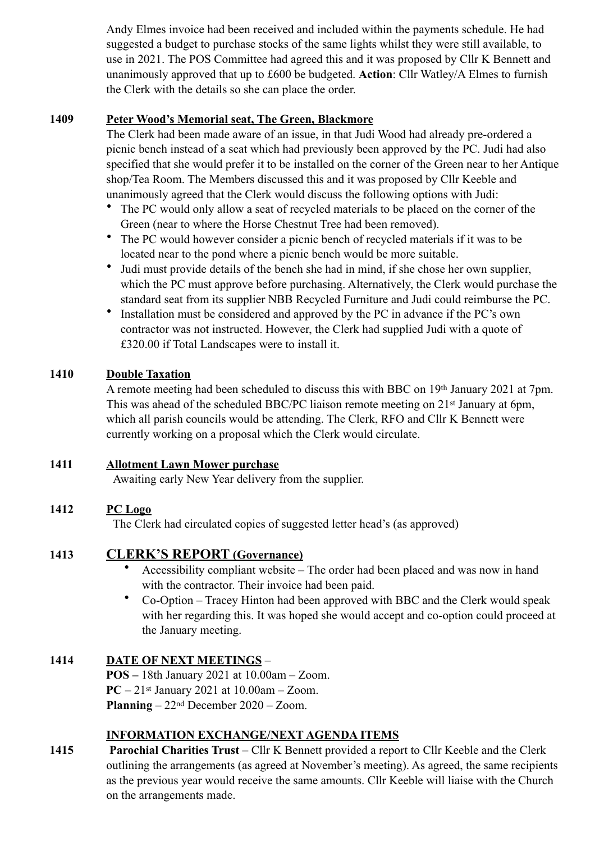Andy Elmes invoice had been received and included within the payments schedule. He had suggested a budget to purchase stocks of the same lights whilst they were still available, to use in 2021. The POS Committee had agreed this and it was proposed by Cllr K Bennett and unanimously approved that up to £600 be budgeted. **Action**: Cllr Watley/A Elmes to furnish the Clerk with the details so she can place the order.

#### **1409 Peter Wood's Memorial seat, The Green, Blackmore**

The Clerk had been made aware of an issue, in that Judi Wood had already pre-ordered a picnic bench instead of a seat which had previously been approved by the PC. Judi had also specified that she would prefer it to be installed on the corner of the Green near to her Antique shop/Tea Room. The Members discussed this and it was proposed by Cllr Keeble and unanimously agreed that the Clerk would discuss the following options with Judi:

- The PC would only allow a seat of recycled materials to be placed on the corner of the Green (near to where the Horse Chestnut Tree had been removed).
- The PC would however consider a picnic bench of recycled materials if it was to be located near to the pond where a picnic bench would be more suitable.
- Judi must provide details of the bench she had in mind, if she chose her own supplier, which the PC must approve before purchasing. Alternatively, the Clerk would purchase the standard seat from its supplier NBB Recycled Furniture and Judi could reimburse the PC.
- Installation must be considered and approved by the PC in advance if the PC's own contractor was not instructed. However, the Clerk had supplied Judi with a quote of £320.00 if Total Landscapes were to install it.

### **1410 Double Taxation**

A remote meeting had been scheduled to discuss this with BBC on 19th January 2021 at 7pm. This was ahead of the scheduled BBC/PC liaison remote meeting on 21st January at 6pm, which all parish councils would be attending. The Clerk, RFO and Cllr K Bennett were currently working on a proposal which the Clerk would circulate.

### **1411 Allotment Lawn Mower purchase**

Awaiting early New Year delivery from the supplier.

## **1412 PC Logo**

The Clerk had circulated copies of suggested letter head's (as approved)

## **1413 CLERK'S REPORT (Governance)**

- Accessibility compliant website The order had been placed and was now in hand with the contractor. Their invoice had been paid.
- Co-Option Tracey Hinton had been approved with BBC and the Clerk would speak with her regarding this. It was hoped she would accept and co-option could proceed at the January meeting.

## **1414 DATE OF NEXT MEETINGS** –

 **POS –** 18th January 2021 at 10.00am – Zoom.  **PC** – 21st January 2021 at 10.00am – Zoom.  **Planning** – 22nd December 2020 – Zoom.

### **INFORMATION EXCHANGE/NEXT AGENDA ITEMS**

**1415 Parochial Charities Trust** – Cllr K Bennett provided a report to Cllr Keeble and the Clerk outlining the arrangements (as agreed at November's meeting). As agreed, the same recipients as the previous year would receive the same amounts. Cllr Keeble will liaise with the Church on the arrangements made.